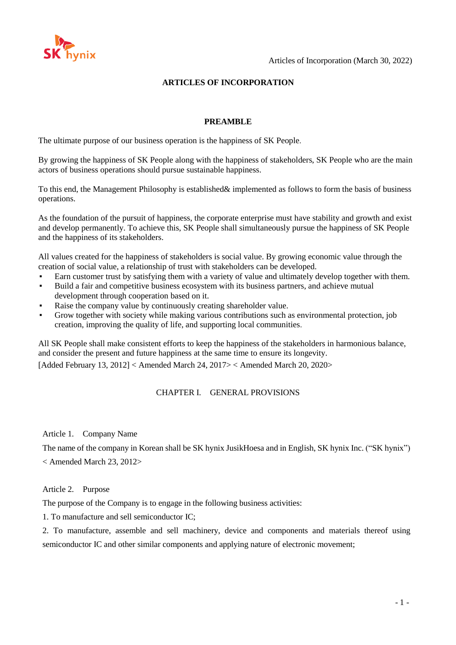

### **ARTICLES OF INCORPORATION**

#### **PREAMBLE**

The ultimate purpose of our business operation is the happiness of SK People.

By growing the happiness of SK People along with the happiness of stakeholders, SK People who are the main actors of business operations should pursue sustainable happiness.

To this end, the Management Philosophy is established& implemented as follows to form the basis of business operations.

As the foundation of the pursuit of happiness, the corporate enterprise must have stability and growth and exist and develop permanently. To achieve this, SK People shall simultaneously pursue the happiness of SK People and the happiness of its stakeholders.

All values created for the happiness of stakeholders is social value. By growing economic value through the creation of social value, a relationship of trust with stakeholders can be developed.

- Earn customer trust by satisfying them with a variety of value and ultimately develop together with them.
- Build a fair and competitive business ecosystem with its business partners, and achieve mutual development through cooperation based on it.
- Raise the company value by continuously creating shareholder value.
- Grow together with society while making various contributions such as environmental protection, job creation, improving the quality of life, and supporting local communities.

All SK People shall make consistent efforts to keep the happiness of the stakeholders in harmonious balance, and consider the present and future happiness at the same time to ensure its longevity. [Added February 13, 2012] < Amended March 24, 2017> < Amended March 20, 2020>

# CHAPTER I. GENERAL PROVISIONS

Article 1. Company Name

The name of the company in Korean shall be SK hynix JusikHoesa and in English, SK hynix Inc. ("SK hynix") < Amended March 23, 2012>

Article 2. Purpose

The purpose of the Company is to engage in the following business activities:

1. To manufacture and sell semiconductor IC;

2. To manufacture, assemble and sell machinery, device and components and materials thereof using semiconductor IC and other similar components and applying nature of electronic movement;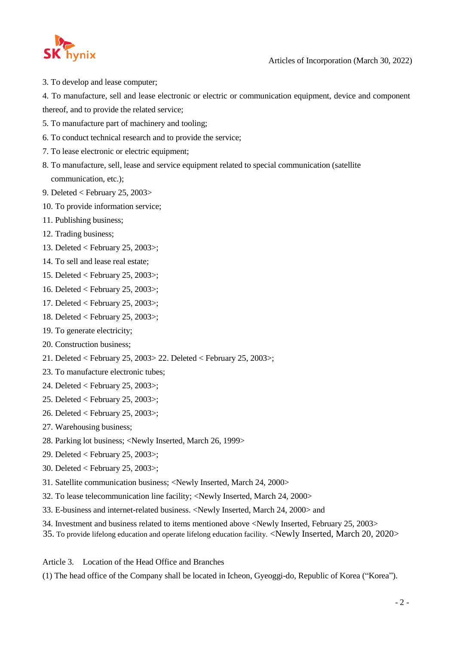

3. To develop and lease computer;

4. To manufacture, sell and lease electronic or electric or communication equipment, device and component thereof, and to provide the related service;

- 5. To manufacture part of machinery and tooling;
- 6. To conduct technical research and to provide the service;
- 7. To lease electronic or electric equipment;
- 8. To manufacture, sell, lease and service equipment related to special communication (satellite communication, etc.);
- 9. Deleted < February 25, 2003>
- 10. To provide information service;
- 11. Publishing business;
- 12. Trading business;
- 13. Deleted < February 25, 2003>;
- 14. To sell and lease real estate;
- 15. Deleted < February 25, 2003>;
- 16. Deleted < February 25, 2003>;
- 17. Deleted < February 25, 2003>;
- 18. Deleted < February 25, 2003>;
- 19. To generate electricity;
- 20. Construction business;
- 21. Deleted < February 25, 2003> 22. Deleted < February 25, 2003>;
- 23. To manufacture electronic tubes;
- 24. Deleted < February 25, 2003>;
- 25. Deleted < February 25, 2003>;
- 26. Deleted < February 25, 2003>;
- 27. Warehousing business;
- 28. Parking lot business; <Newly Inserted, March 26, 1999>
- 29. Deleted < February 25, 2003>;
- 30. Deleted < February 25, 2003>;
- 31. Satellite communication business; <Newly Inserted, March 24, 2000>
- 32. To lease telecommunication line facility; <Newly Inserted, March 24, 2000>
- 33. E-business and internet-related business. <Newly Inserted, March 24, 2000> and
- 34. Investment and business related to items mentioned above <Newly Inserted, February 25, 2003>
- 35. To provide lifelong education and operate lifelong education facility. <Newly Inserted, March 20, 2020>

Article 3. Location of the Head Office and Branches

(1) The head office of the Company shall be located in Icheon, Gyeoggi-do, Republic of Korea ("Korea").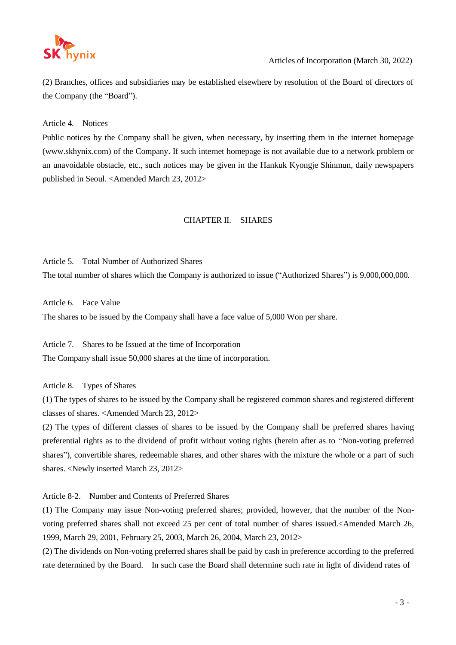

(2) Branches, offices and subsidiaries may be established elsewhere by resolution of the Board of directors of the Company (the "Board").

Article 4. Notices

Public notices by the Company shall be given, when necessary, by inserting them in the internet homepag[e](http://www.skhynix.com/) [\(www.skhynix.com\)](http://www.skhynix.com/) of the Company. If such internet homepage is not available due to a network problem or an unavoidable obstacle, etc., such notices may be given in the Hankuk Kyongje Shinmun, daily newspapers published in Seoul. <Amended March 23, 2012>

# CHAPTER II. SHARES

# Article 5. Total Number of Authorized Shares

The total number of shares which the Company is authorized to issue ("Authorized Shares") is 9,000,000,000.

Article 6. Face Value

The shares to be issued by the Company shall have a face value of 5,000 Won per share.

Article 7. Shares to be Issued at the time of Incorporation The Company shall issue 50,000 shares at the time of incorporation.

Article 8. Types of Shares

(1) The types of shares to be issued by the Company shall be registered common shares and registered different classes of shares. <Amended March 23, 2012>

(2) The types of different classes of shares to be issued by the Company shall be preferred shares having preferential rights as to the dividend of profit without voting rights (herein after as to "Non-voting preferred shares"), convertible shares, redeemable shares, and other shares with the mixture the whole or a part of such shares. <Newly inserted March 23, 2012>

Article 8-2. Number and Contents of Preferred Shares

(1) The Company may issue Non-voting preferred shares; provided, however, that the number of the Nonvoting preferred shares shall not exceed 25 per cent of total number of shares issued.<Amended March 26, 1999, March 29, 2001, February 25, 2003, March 26, 2004, March 23, 2012>

(2) The dividends on Non-voting preferred shares shall be paid by cash in preference according to the preferred rate determined by the Board. In such case the Board shall determine such rate in light of dividend rates of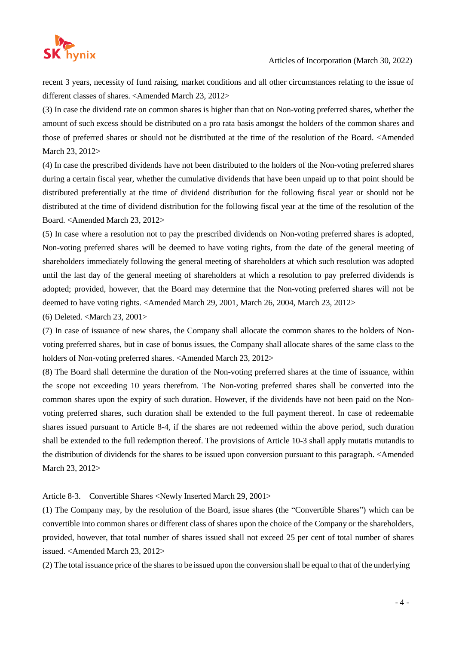

recent 3 years, necessity of fund raising, market conditions and all other circumstances relating to the issue of different classes of shares. <Amended March 23, 2012>

(3) In case the dividend rate on common shares is higher than that on Non-voting preferred shares, whether the amount of such excess should be distributed on a pro rata basis amongst the holders of the common shares and those of preferred shares or should not be distributed at the time of the resolution of the Board. <Amended March 23, 2012>

(4) In case the prescribed dividends have not been distributed to the holders of the Non-voting preferred shares during a certain fiscal year, whether the cumulative dividends that have been unpaid up to that point should be distributed preferentially at the time of dividend distribution for the following fiscal year or should not be distributed at the time of dividend distribution for the following fiscal year at the time of the resolution of the Board. <Amended March 23, 2012>

(5) In case where a resolution not to pay the prescribed dividends on Non-voting preferred shares is adopted, Non-voting preferred shares will be deemed to have voting rights, from the date of the general meeting of shareholders immediately following the general meeting of shareholders at which such resolution was adopted until the last day of the general meeting of shareholders at which a resolution to pay preferred dividends is adopted; provided, however, that the Board may determine that the Non-voting preferred shares will not be deemed to have voting rights. <Amended March 29, 2001, March 26, 2004, March 23, 2012>

(6) Deleted. <March 23, 2001>

(7) In case of issuance of new shares, the Company shall allocate the common shares to the holders of Nonvoting preferred shares, but in case of bonus issues, the Company shall allocate shares of the same class to the holders of Non-voting preferred shares. <Amended March 23, 2012>

(8) The Board shall determine the duration of the Non-voting preferred shares at the time of issuance, within the scope not exceeding 10 years therefrom. The Non-voting preferred shares shall be converted into the common shares upon the expiry of such duration. However, if the dividends have not been paid on the Nonvoting preferred shares, such duration shall be extended to the full payment thereof. In case of redeemable shares issued pursuant to Article 8-4, if the shares are not redeemed within the above period, such duration shall be extended to the full redemption thereof. The provisions of Article 10-3 shall apply mutatis mutandis to the distribution of dividends for the shares to be issued upon conversion pursuant to this paragraph. <Amended March 23, 2012>

Article 8-3. Convertible Shares <Newly Inserted March 29, 2001>

(1) The Company may, by the resolution of the Board, issue shares (the "Convertible Shares") which can be convertible into common shares or different class of shares upon the choice of the Company or the shareholders, provided, however, that total number of shares issued shall not exceed 25 per cent of total number of shares issued. <Amended March 23, 2012>

(2) The total issuance price of the shares to be issued upon the conversion shall be equal to that of the underlying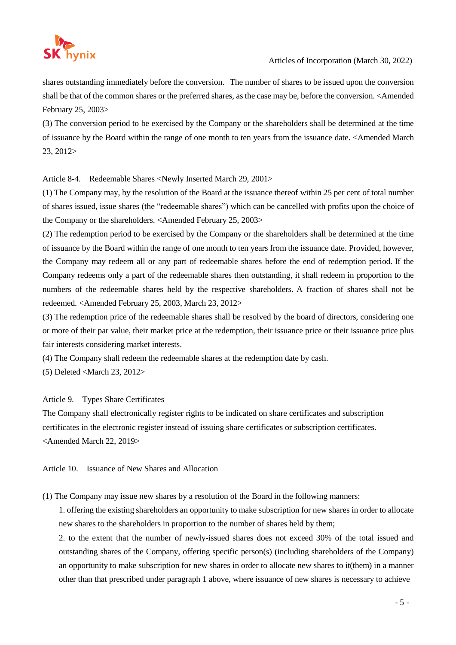

shares outstanding immediately before the conversion. The number of shares to be issued upon the conversion shall be that of the common shares or the preferred shares, as the case may be, before the conversion. <Amended February 25, 2003>

(3) The conversion period to be exercised by the Company or the shareholders shall be determined at the time of issuance by the Board within the range of one month to ten years from the issuance date. <Amended March 23, 2012>

Article 8-4. Redeemable Shares <Newly Inserted March 29, 2001>

(1) The Company may, by the resolution of the Board at the issuance thereof within 25 per cent of total number of shares issued, issue shares (the "redeemable shares") which can be cancelled with profits upon the choice of the Company or the shareholders. <Amended February 25, 2003>

(2) The redemption period to be exercised by the Company or the shareholders shall be determined at the time of issuance by the Board within the range of one month to ten years from the issuance date. Provided, however, the Company may redeem all or any part of redeemable shares before the end of redemption period. If the Company redeems only a part of the redeemable shares then outstanding, it shall redeem in proportion to the numbers of the redeemable shares held by the respective shareholders. A fraction of shares shall not be redeemed. <Amended February 25, 2003, March 23, 2012>

(3) The redemption price of the redeemable shares shall be resolved by the board of directors, considering one or more of their par value, their market price at the redemption, their issuance price or their issuance price plus fair interests considering market interests.

(4) The Company shall redeem the redeemable shares at the redemption date by cash.

(5) Deleted <March 23, 2012>

# Article 9. Types Share Certificates

The Company shall electronically register rights to be indicated on share certificates and subscription certificates in the electronic register instead of issuing share certificates or subscription certificates. <Amended March 22, 2019>

Article 10. Issuance of New Shares and Allocation

(1) The Company may issue new shares by a resolution of the Board in the following manners:

1. offering the existing shareholders an opportunity to make subscription for new shares in order to allocate new shares to the shareholders in proportion to the number of shares held by them;

2. to the extent that the number of newly-issued shares does not exceed 30% of the total issued and outstanding shares of the Company, offering specific person(s) (including shareholders of the Company) an opportunity to make subscription for new shares in order to allocate new shares to it(them) in a manner other than that prescribed under paragraph 1 above, where issuance of new shares is necessary to achieve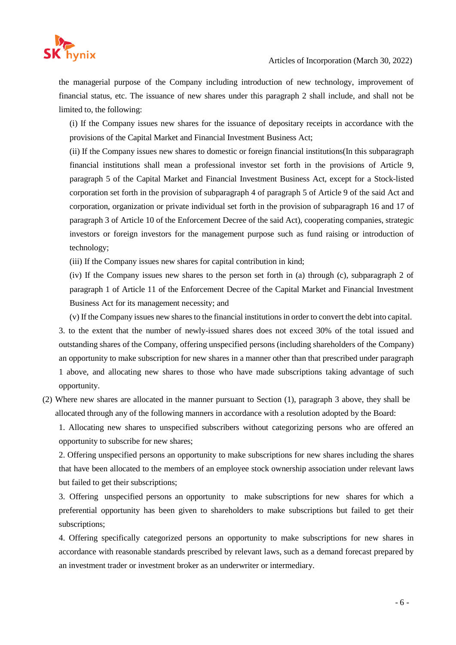

the managerial purpose of the Company including introduction of new technology, improvement of financial status, etc. The issuance of new shares under this paragraph 2 shall include, and shall not be limited to, the following:

(i) If the Company issues new shares for the issuance of depositary receipts in accordance with the provisions of the Capital Market and Financial Investment Business Act;

(ii) If the Company issues new shares to domestic or foreign financial institutions(In this subparagraph financial institutions shall mean a professional investor set forth in the provisions of Article 9, paragraph 5 of the Capital Market and Financial Investment Business Act, except for a Stock-listed corporation set forth in the provision of subparagraph 4 of paragraph 5 of Article 9 of the said Act and corporation, organization or private individual set forth in the provision of subparagraph 16 and 17 of paragraph 3 of Article 10 of the Enforcement Decree of the said Act), cooperating companies, strategic investors or foreign investors for the management purpose such as fund raising or introduction of technology;

(iii) If the Company issues new shares for capital contribution in kind;

(iv) If the Company issues new shares to the person set forth in (a) through (c), subparagraph 2 of paragraph 1 of Article 11 of the Enforcement Decree of the Capital Market and Financial Investment Business Act for its management necessity; and

(v) If the Company issues new shares to the financial institutions in order to convert the debt into capital.

3. to the extent that the number of newly-issued shares does not exceed 30% of the total issued and outstanding shares of the Company, offering unspecified persons (including shareholders of the Company) an opportunity to make subscription for new shares in a manner other than that prescribed under paragraph 1 above, and allocating new shares to those who have made subscriptions taking advantage of such opportunity.

(2) Where new shares are allocated in the manner pursuant to Section (1), paragraph 3 above, they shall be allocated through any of the following manners in accordance with a resolution adopted by the Board:

1. Allocating new shares to unspecified subscribers without categorizing persons who are offered an opportunity to subscribe for new shares;

2. Offering unspecified persons an opportunity to make subscriptions for new shares including the shares that have been allocated to the members of an employee stock ownership association under relevant laws but failed to get their subscriptions;

3. Offering unspecified persons an opportunity to make subscriptions for new shares for which a preferential opportunity has been given to shareholders to make subscriptions but failed to get their subscriptions;

4. Offering specifically categorized persons an opportunity to make subscriptions for new shares in accordance with reasonable standards prescribed by relevant laws, such as a demand forecast prepared by an investment trader or investment broker as an underwriter or intermediary.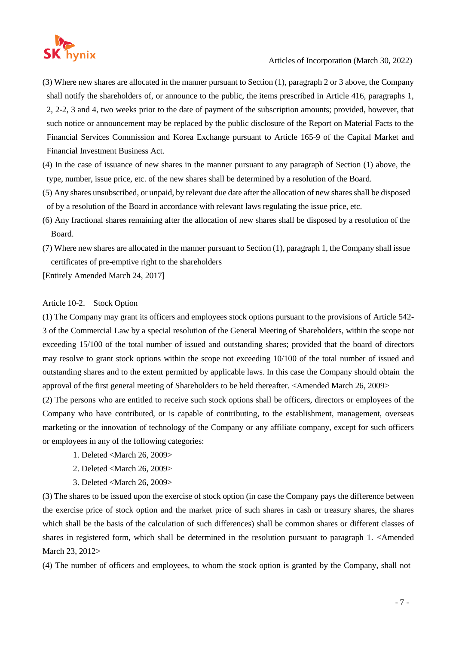

- (3) Where new shares are allocated in the manner pursuant to Section (1), paragraph 2 or 3 above, the Company shall notify the shareholders of, or announce to the public, the items prescribed in Article 416, paragraphs 1, 2, 2-2, 3 and 4, two weeks prior to the date of payment of the subscription amounts; provided, however, that such notice or announcement may be replaced by the public disclosure of the Report on Material Facts to the Financial Services Commission and Korea Exchange pursuant to Article 165-9 of the Capital Market and Financial Investment Business Act.
- (4) In the case of issuance of new shares in the manner pursuant to any paragraph of Section (1) above, the type, number, issue price, etc. of the new shares shall be determined by a resolution of the Board.
- (5) Any shares unsubscribed, or unpaid, by relevant due date after the allocation of new shares shall be disposed of by a resolution of the Board in accordance with relevant laws regulating the issue price, etc.
- (6) Any fractional shares remaining after the allocation of new shares shall be disposed by a resolution of the Board.
- (7) Where new shares are allocated in the manner pursuant to Section (1), paragraph 1, the Company shall issue certificates of pre-emptive right to the shareholders

[Entirely Amended March 24, 2017]

#### Article 10-2. Stock Option

(1) The Company may grant its officers and employees stock options pursuant to the provisions of Article 542- 3 of the Commercial Law by a special resolution of the General Meeting of Shareholders, within the scope not exceeding 15/100 of the total number of issued and outstanding shares; provided that the board of directors may resolve to grant stock options within the scope not exceeding 10/100 of the total number of issued and outstanding shares and to the extent permitted by applicable laws. In this case the Company should obtain the approval of the first general meeting of Shareholders to be held thereafter. <Amended March 26, 2009>

(2) The persons who are entitled to receive such stock options shall be officers, directors or employees of the Company who have contributed, or is capable of contributing, to the establishment, management, overseas marketing or the innovation of technology of the Company or any affiliate company, except for such officers or employees in any of the following categories:

- 1. Deleted <March 26, 2009>
- 2. Deleted <March 26, 2009>
- 3. Deleted <March 26, 2009>

(3) The shares to be issued upon the exercise of stock option (in case the Company pays the difference between the exercise price of stock option and the market price of such shares in cash or treasury shares, the shares which shall be the basis of the calculation of such differences) shall be common shares or different classes of shares in registered form, which shall be determined in the resolution pursuant to paragraph 1. <Amended March 23, 2012>

(4) The number of officers and employees, to whom the stock option is granted by the Company, shall not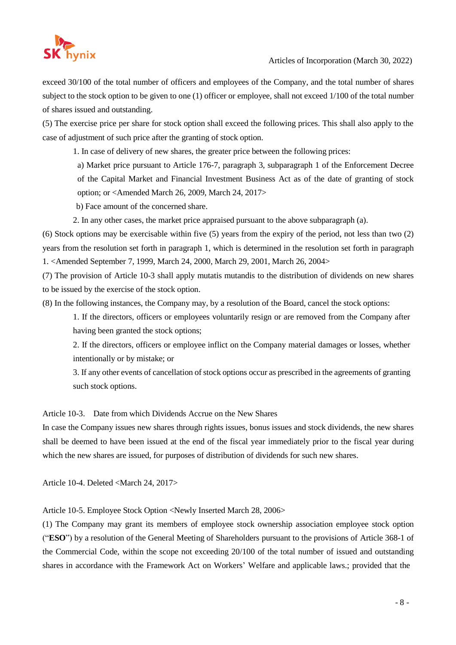

exceed 30/100 of the total number of officers and employees of the Company, and the total number of shares subject to the stock option to be given to one (1) officer or employee, shall not exceed 1/100 of the total number of shares issued and outstanding.

(5) The exercise price per share for stock option shall exceed the following prices. This shall also apply to the case of adjustment of such price after the granting of stock option.

1. In case of delivery of new shares, the greater price between the following prices:

a) Market price pursuant to Article 176-7, paragraph 3, subparagraph 1 of the Enforcement Decree of the Capital Market and Financial Investment Business Act as of the date of granting of stock option; or <Amended March 26, 2009, March 24, 2017>

b) Face amount of the concerned share.

2. In any other cases, the market price appraised pursuant to the above subparagraph (a).

(6) Stock options may be exercisable within five (5) years from the expiry of the period, not less than two (2) years from the resolution set forth in paragraph 1, which is determined in the resolution set forth in paragraph 1. <Amended September 7, 1999, March 24, 2000, March 29, 2001, March 26, 2004>

(7) The provision of Article 10-3 shall apply mutatis mutandis to the distribution of dividends on new shares to be issued by the exercise of the stock option.

(8) In the following instances, the Company may, by a resolution of the Board, cancel the stock options:

1. If the directors, officers or employees voluntarily resign or are removed from the Company after having been granted the stock options;

2. If the directors, officers or employee inflict on the Company material damages or losses, whether intentionally or by mistake; or

3. If any other events of cancellation of stock options occur as prescribed in the agreements of granting such stock options.

Article 10-3. Date from which Dividends Accrue on the New Shares

In case the Company issues new shares through rights issues, bonus issues and stock dividends, the new shares shall be deemed to have been issued at the end of the fiscal year immediately prior to the fiscal year during which the new shares are issued, for purposes of distribution of dividends for such new shares.

Article 10-4. Deleted <March 24, 2017>

Article 10-5. Employee Stock Option <Newly Inserted March 28, 2006>

(1) The Company may grant its members of employee stock ownership association employee stock option ("**ESO**") by a resolution of the General Meeting of Shareholders pursuant to the provisions of Article 368-1 of the Commercial Code, within the scope not exceeding 20/100 of the total number of issued and outstanding shares in accordance with the Framework Act on Workers' Welfare and applicable laws.; provided that the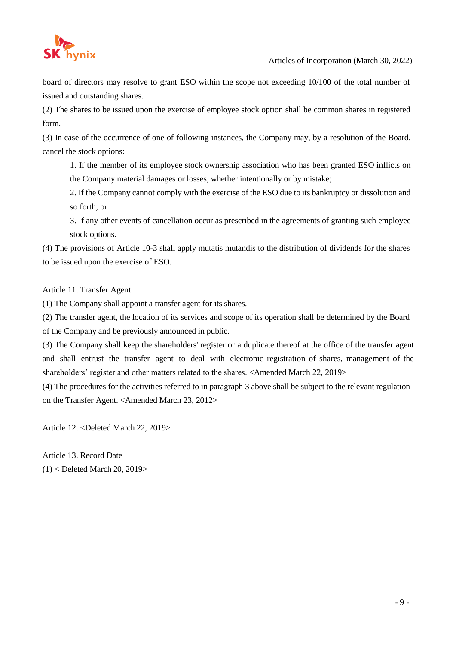

board of directors may resolve to grant ESO within the scope not exceeding 10/100 of the total number of issued and outstanding shares.

(2) The shares to be issued upon the exercise of employee stock option shall be common shares in registered form.

(3) In case of the occurrence of one of following instances, the Company may, by a resolution of the Board, cancel the stock options:

1. If the member of its employee stock ownership association who has been granted ESO inflicts on the Company material damages or losses, whether intentionally or by mistake;

2. If the Company cannot comply with the exercise of the ESO due to its bankruptcy or dissolution and so forth; or

3. If any other events of cancellation occur as prescribed in the agreements of granting such employee stock options.

(4) The provisions of Article 10-3 shall apply mutatis mutandis to the distribution of dividends for the shares to be issued upon the exercise of ESO.

Article 11. Transfer Agent

(1) The Company shall appoint a transfer agent for its shares.

(2) The transfer agent, the location of its services and scope of its operation shall be determined by the Board of the Company and be previously announced in public.

(3) The Company shall keep the shareholders' register or a duplicate thereof at the office of the transfer agent and shall entrust the transfer agent to deal with electronic registration of shares, management of the shareholders' register and other matters related to the shares. <Amended March 22, 2019>

(4) The procedures for the activities referred to in paragraph 3 above shall be subject to the relevant regulation on the Transfer Agent. <Amended March 23, 2012>

Article 12. <Deleted March 22, 2019>

Article 13. Record Date (1) < Deleted March 20, 2019>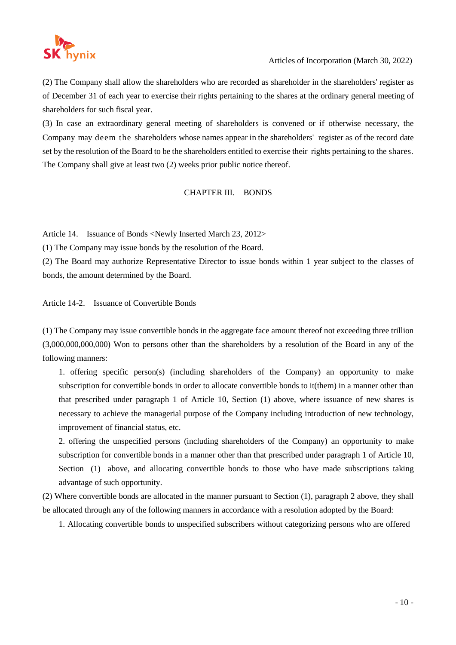

(2) The Company shall allow the shareholders who are recorded as shareholder in the shareholders' register as of December 31 of each year to exercise their rights pertaining to the shares at the ordinary general meeting of shareholders for such fiscal year.

(3) In case an extraordinary general meeting of shareholders is convened or if otherwise necessary, the Company may deem the shareholders whose names appear in the shareholders' register as of the record date set by the resolution of the Board to be the shareholders entitled to exercise their rights pertaining to the shares. The Company shall give at least two (2) weeks prior public notice thereof.

# CHAPTER III. BONDS

Article 14. Issuance of Bonds <Newly Inserted March 23, 2012>

(1) The Company may issue bonds by the resolution of the Board.

(2) The Board may authorize Representative Director to issue bonds within 1 year subject to the classes of bonds, the amount determined by the Board.

Article 14-2. Issuance of Convertible Bonds

(1) The Company may issue convertible bonds in the aggregate face amount thereof not exceeding three trillion (3,000,000,000,000) Won to persons other than the shareholders by a resolution of the Board in any of the following manners:

1. offering specific person(s) (including shareholders of the Company) an opportunity to make subscription for convertible bonds in order to allocate convertible bonds to it(them) in a manner other than that prescribed under paragraph 1 of Article 10, Section (1) above, where issuance of new shares is necessary to achieve the managerial purpose of the Company including introduction of new technology, improvement of financial status, etc.

2. offering the unspecified persons (including shareholders of the Company) an opportunity to make subscription for convertible bonds in a manner other than that prescribed under paragraph 1 of Article 10, Section (1) above, and allocating convertible bonds to those who have made subscriptions taking advantage of such opportunity.

(2) Where convertible bonds are allocated in the manner pursuant to Section (1), paragraph 2 above, they shall be allocated through any of the following manners in accordance with a resolution adopted by the Board:

1. Allocating convertible bonds to unspecified subscribers without categorizing persons who are offered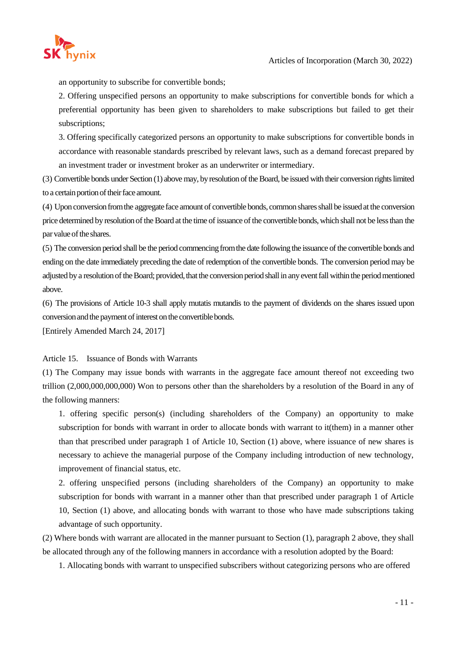

an opportunity to subscribe for convertible bonds;

2. Offering unspecified persons an opportunity to make subscriptions for convertible bonds for which a preferential opportunity has been given to shareholders to make subscriptions but failed to get their subscriptions;

3. Offering specifically categorized persons an opportunity to make subscriptions for convertible bonds in accordance with reasonable standards prescribed by relevant laws, such as a demand forecast prepared by an investment trader or investment broker as an underwriter or intermediary.

(3) Convertible bonds under Section (1) abovemay, byresolution oftheBoard, be issued with their conversion rightslimited to a certain portion of their face amount.

(4) Upon conversionfromthe aggregateface amount of convertible bonds, common sharesshallbe issuedat the conversion price determined by resolution of the Board at the time of issuance of the convertible bonds, which shall not be less than the par value of the shares.

(5) The conversion period shall be the period commencingfromthe date following the issuance ofthe convertible bonds and ending on the date immediately preceding the date of redemption of the convertible bonds. The conversion period may be adjusted by a resolution of the Board; provided, that the conversion period shall in any event fall within the period mentioned above.

(6) The provisions of Article 10-3 shall apply mutatis mutandis to the payment of dividends on the shares issued upon conversion and the payment of interest on the convertible bonds.

[Entirely Amended March 24, 2017]

#### Article 15. Issuance of Bonds with Warrants

(1) The Company may issue bonds with warrants in the aggregate face amount thereof not exceeding two trillion (2,000,000,000,000) Won to persons other than the shareholders by a resolution of the Board in any of the following manners:

1. offering specific person(s) (including shareholders of the Company) an opportunity to make subscription for bonds with warrant in order to allocate bonds with warrant to it(them) in a manner other than that prescribed under paragraph 1 of Article 10, Section (1) above, where issuance of new shares is necessary to achieve the managerial purpose of the Company including introduction of new technology, improvement of financial status, etc.

2. offering unspecified persons (including shareholders of the Company) an opportunity to make subscription for bonds with warrant in a manner other than that prescribed under paragraph 1 of Article 10, Section (1) above, and allocating bonds with warrant to those who have made subscriptions taking advantage of such opportunity.

(2) Where bonds with warrant are allocated in the manner pursuant to Section (1), paragraph 2 above, they shall be allocated through any of the following manners in accordance with a resolution adopted by the Board:

1. Allocating bonds with warrant to unspecified subscribers without categorizing persons who are offered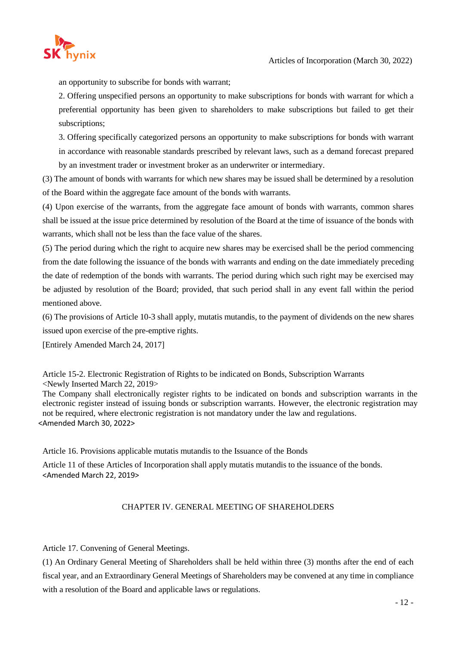

an opportunity to subscribe for bonds with warrant;

2. Offering unspecified persons an opportunity to make subscriptions for bonds with warrant for which a preferential opportunity has been given to shareholders to make subscriptions but failed to get their subscriptions;

3. Offering specifically categorized persons an opportunity to make subscriptions for bonds with warrant in accordance with reasonable standards prescribed by relevant laws, such as a demand forecast prepared by an investment trader or investment broker as an underwriter or intermediary.

(3) The amount of bonds with warrants for which new shares may be issued shall be determined by a resolution of the Board within the aggregate face amount of the bonds with warrants.

(4) Upon exercise of the warrants, from the aggregate face amount of bonds with warrants, common shares shall be issued at the issue price determined by resolution of the Board at the time of issuance of the bonds with warrants, which shall not be less than the face value of the shares.

(5) The period during which the right to acquire new shares may be exercised shall be the period commencing from the date following the issuance of the bonds with warrants and ending on the date immediately preceding the date of redemption of the bonds with warrants. The period during which such right may be exercised may be adjusted by resolution of the Board; provided, that such period shall in any event fall within the period mentioned above.

(6) The provisions of Article 10-3 shall apply, mutatis mutandis, to the payment of dividends on the new shares issued upon exercise of the pre-emptive rights.

[Entirely Amended March 24, 2017]

Article 15-2. Electronic Registration of Rights to be indicated on Bonds, Subscription Warrants <Newly Inserted March 22, 2019>

The Company shall electronically register rights to be indicated on bonds and subscription warrants in the electronic register instead of issuing bonds or subscription warrants. However, the electronic registration may not be required, where electronic registration is not mandatory under the law and regulations. <Amended March 30, 2022>

Article 16. Provisions applicable mutatis mutandis to the Issuance of the Bonds

Article 11 of these Articles of Incorporation shall apply mutatis mutandis to the issuance of the bonds. <Amended March 22, 2019>

# CHAPTER IV. GENERAL MEETING OF SHAREHOLDERS

Article 17. Convening of General Meetings.

(1) An Ordinary General Meeting of Shareholders shall be held within three (3) months after the end of each fiscal year, and an Extraordinary General Meetings of Shareholders may be convened at any time in compliance with a resolution of the Board and applicable laws or regulations.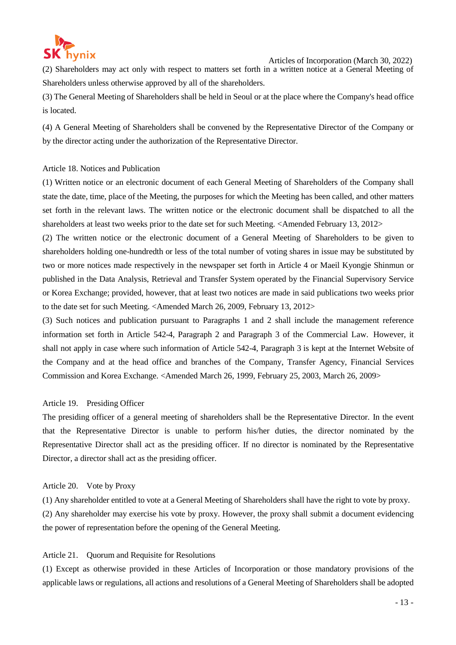

Articles of Incorporation (March 30, 2022)

(2) Shareholders may act only with respect to matters set forth in a written notice at a General Meeting of Shareholders unless otherwise approved by all of the shareholders.

(3) The General Meeting of Shareholders shall be held in Seoul or at the place where the Company's head office is located.

(4) A General Meeting of Shareholders shall be convened by the Representative Director of the Company or by the director acting under the authorization of the Representative Director.

#### Article 18. Notices and Publication

(1) Written notice or an electronic document of each General Meeting of Shareholders of the Company shall state the date, time, place of the Meeting, the purposes for which the Meeting has been called, and other matters set forth in the relevant laws. The written notice or the electronic document shall be dispatched to all the shareholders at least two weeks prior to the date set for such Meeting. <Amended February 13, 2012>

(2) The written notice or the electronic document of a General Meeting of Shareholders to be given to shareholders holding one-hundredth or less of the total number of voting shares in issue may be substituted by two or more notices made respectively in the newspaper set forth in Article 4 or Maeil Kyongje Shinmun or published in the Data Analysis, Retrieval and Transfer System operated by the Financial Supervisory Service or Korea Exchange; provided, however, that at least two notices are made in said publications two weeks prior to the date set for such Meeting. <Amended March 26, 2009, February 13, 2012>

(3) Such notices and publication pursuant to Paragraphs 1 and 2 shall include the management reference information set forth in Article 542-4, Paragraph 2 and Paragraph 3 of the Commercial Law. However, it shall not apply in case where such information of Article 542-4, Paragraph 3 is kept at the Internet Website of the Company and at the head office and branches of the Company, Transfer Agency, Financial Services Commission and Korea Exchange. <Amended March 26, 1999, February 25, 2003, March 26, 2009>

#### Article 19. Presiding Officer

The presiding officer of a general meeting of shareholders shall be the Representative Director. In the event that the Representative Director is unable to perform his/her duties, the director nominated by the Representative Director shall act as the presiding officer. If no director is nominated by the Representative Director, a director shall act as the presiding officer.

#### Article 20. Vote by Proxy

(1) Any shareholder entitled to vote at a General Meeting of Shareholders shall have the right to vote by proxy. (2) Any shareholder may exercise his vote by proxy. However, the proxy shall submit a document evidencing the power of representation before the opening of the General Meeting.

#### Article 21. Quorum and Requisite for Resolutions

(1) Except as otherwise provided in these Articles of Incorporation or those mandatory provisions of the applicable laws or regulations, all actions and resolutions of a General Meeting of Shareholders shall be adopted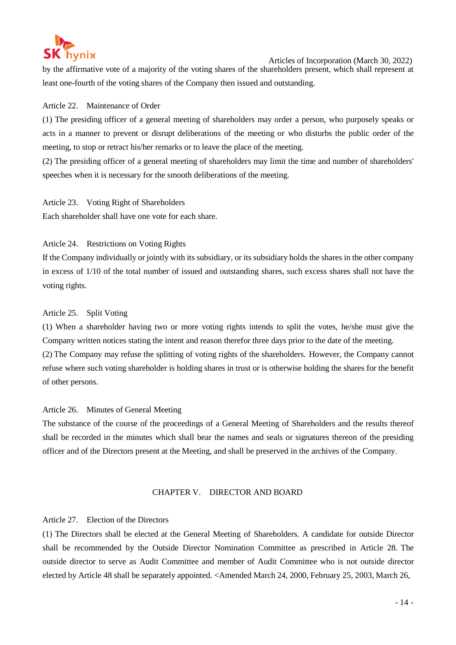

Articles of Incorporation (March 30, 2022)

by the affirmative vote of a majority of the voting shares of the shareholders present, which shall represent at least one-fourth of the voting shares of the Company then issued and outstanding.

#### Article 22. Maintenance of Order

(1) The presiding officer of a general meeting of shareholders may order a person, who purposely speaks or acts in a manner to prevent or disrupt deliberations of the meeting or who disturbs the public order of the meeting, to stop or retract his/her remarks or to leave the place of the meeting.

(2) The presiding officer of a general meeting of shareholders may limit the time and number of shareholders' speeches when it is necessary for the smooth deliberations of the meeting.

Article 23. Voting Right of Shareholders Each shareholder shall have one vote for each share.

#### Article 24. Restrictions on Voting Rights

If the Company individually or jointly with its subsidiary, or its subsidiary holds the shares in the other company in excess of 1/10 of the total number of issued and outstanding shares, such excess shares shall not have the voting rights.

#### Article 25. Split Voting

(1) When a shareholder having two or more voting rights intends to split the votes, he/she must give the Company written notices stating the intent and reason therefor three days prior to the date of the meeting. (2) The Company may refuse the splitting of voting rights of the shareholders. However, the Company cannot refuse where such voting shareholder is holding shares in trust or is otherwise holding the shares for the benefit of other persons.

#### Article 26. Minutes of General Meeting

The substance of the course of the proceedings of a General Meeting of Shareholders and the results thereof shall be recorded in the minutes which shall bear the names and seals or signatures thereon of the presiding officer and of the Directors present at the Meeting, and shall be preserved in the archives of the Company.

#### CHAPTER V. DIRECTOR AND BOARD

#### Article 27. Election of the Directors

(1) The Directors shall be elected at the General Meeting of Shareholders. A candidate for outside Director shall be recommended by the Outside Director Nomination Committee as prescribed in Article 28. The outside director to serve as Audit Committee and member of Audit Committee who is not outside director elected by Article 48 shall be separately appointed. <Amended March 24, 2000, February 25, 2003, March 26,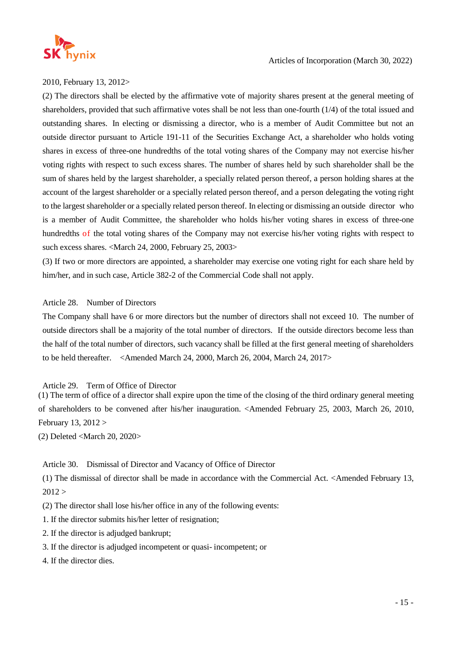

2010, February 13, 2012>

(2) The directors shall be elected by the affirmative vote of majority shares present at the general meeting of shareholders, provided that such affirmative votes shall be not less than one-fourth (1/4) of the total issued and outstanding shares. In electing or dismissing a director, who is a member of Audit Committee but not an outside director pursuant to Article 191-11 of the Securities Exchange Act, a shareholder who holds voting shares in excess of three-one hundredths of the total voting shares of the Company may not exercise his/her voting rights with respect to such excess shares. The number of shares held by such shareholder shall be the sum of shares held by the largest shareholder, a specially related person thereof, a person holding shares at the account of the largest shareholder or a specially related person thereof, and a person delegating the voting right to the largest shareholder or a specially related person thereof. In electing or dismissing an outside director who is a member of Audit Committee, the shareholder who holds his/her voting shares in excess of three-one hundredths of the total voting shares of the Company may not exercise his/her voting rights with respect to such excess shares. <March 24, 2000, February 25, 2003>

(3) If two or more directors are appointed, a shareholder may exercise one voting right for each share held by him/her, and in such case, Article 382-2 of the Commercial Code shall not apply.

# Article 28. Number of Directors

The Company shall have 6 or more directors but the number of directors shall not exceed 10. The number of outside directors shall be a majority of the total number of directors. If the outside directors become less than the half of the total number of directors, such vacancy shall be filled at the first general meeting of shareholders to be held thereafter. <Amended March 24, 2000, March 26, 2004, March 24, 2017>

Article 29. Term of Office of Director

(1) The term of office of a director shall expire upon the time of the closing of the third ordinary general meeting of shareholders to be convened after his/her inauguration. <Amended February 25, 2003, March 26, 2010, February 13, 2012 >

(2) Deleted <March 20, 2020>

# Article 30. Dismissal of Director and Vacancy of Office of Director

(1) The dismissal of director shall be made in accordance with the Commercial Act. <Amended February 13,  $2012 >$ 

(2) The director shall lose his/her office in any of the following events:

- 1. If the director submits his/her letter of resignation;
- 2. If the director is adjudged bankrupt;
- 3. If the director is adjudged incompetent or quasi- incompetent; or
- 4. If the director dies.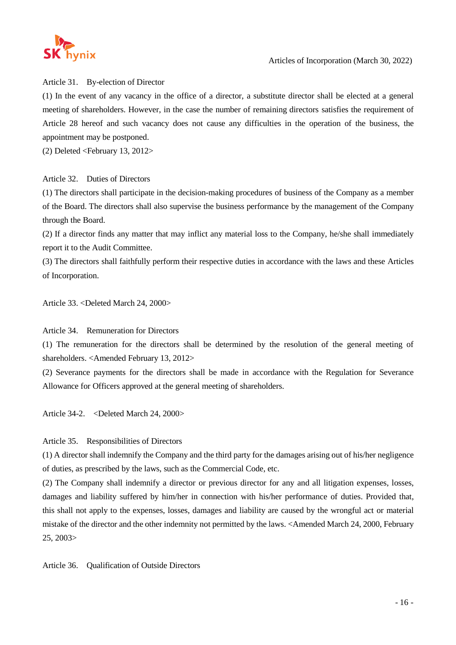

Article 31. By-election of Director

(1) In the event of any vacancy in the office of a director, a substitute director shall be elected at a general meeting of shareholders. However, in the case the number of remaining directors satisfies the requirement of Article 28 hereof and such vacancy does not cause any difficulties in the operation of the business, the appointment may be postponed.

(2) Deleted <February 13, 2012>

# Article 32. Duties of Directors

(1) The directors shall participate in the decision-making procedures of business of the Company as a member of the Board. The directors shall also supervise the business performance by the management of the Company through the Board.

(2) If a director finds any matter that may inflict any material loss to the Company, he/she shall immediately report it to the Audit Committee.

(3) The directors shall faithfully perform their respective duties in accordance with the laws and these Articles of Incorporation.

Article 33. <Deleted March 24, 2000>

Article 34. Remuneration for Directors

(1) The remuneration for the directors shall be determined by the resolution of the general meeting of shareholders. <Amended February 13, 2012>

(2) Severance payments for the directors shall be made in accordance with the Regulation for Severance Allowance for Officers approved at the general meeting of shareholders.

Article 34-2. <Deleted March 24, 2000>

# Article 35. Responsibilities of Directors

(1) A director shall indemnify the Company and the third party for the damages arising out of his/her negligence of duties, as prescribed by the laws, such as the Commercial Code, etc.

(2) The Company shall indemnify a director or previous director for any and all litigation expenses, losses, damages and liability suffered by him/her in connection with his/her performance of duties. Provided that, this shall not apply to the expenses, losses, damages and liability are caused by the wrongful act or material mistake of the director and the other indemnity not permitted by the laws. <Amended March 24, 2000, February 25, 2003>

Article 36. Qualification of Outside Directors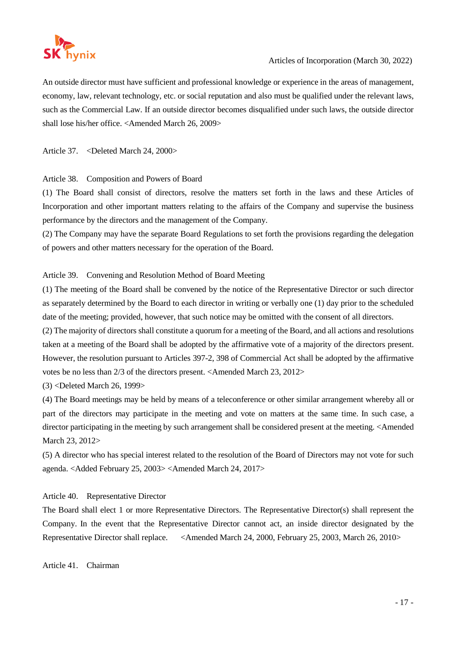

An outside director must have sufficient and professional knowledge or experience in the areas of management, economy, law, relevant technology, etc. or social reputation and also must be qualified under the relevant laws, such as the Commercial Law. If an outside director becomes disqualified under such laws, the outside director shall lose his/her office. <Amended March 26, 2009>

Article 37. < Deleted March 24, 2000>

# Article 38. Composition and Powers of Board

(1) The Board shall consist of directors, resolve the matters set forth in the laws and these Articles of Incorporation and other important matters relating to the affairs of the Company and supervise the business performance by the directors and the management of the Company.

(2) The Company may have the separate Board Regulations to set forth the provisions regarding the delegation of powers and other matters necessary for the operation of the Board.

# Article 39. Convening and Resolution Method of Board Meeting

(1) The meeting of the Board shall be convened by the notice of the Representative Director or such director as separately determined by the Board to each director in writing or verbally one (1) day prior to the scheduled date of the meeting; provided, however, that such notice may be omitted with the consent of all directors.

(2) The majority of directors shall constitute a quorum for a meeting of the Board, and all actions and resolutions taken at a meeting of the Board shall be adopted by the affirmative vote of a majority of the directors present. However, the resolution pursuant to Articles 397-2, 398 of Commercial Act shall be adopted by the affirmative votes be no less than 2/3 of the directors present. <Amended March 23, 2012>

(3) <Deleted March 26, 1999>

(4) The Board meetings may be held by means of a teleconference or other similar arrangement whereby all or part of the directors may participate in the meeting and vote on matters at the same time. In such case, a director participating in the meeting by such arrangement shall be considered present at the meeting. <Amended March 23, 2012>

(5) A director who has special interest related to the resolution of the Board of Directors may not vote for such agenda. <Added February 25, 2003> <Amended March 24, 2017>

Article 40. Representative Director

The Board shall elect 1 or more Representative Directors. The Representative Director(s) shall represent the Company. In the event that the Representative Director cannot act, an inside director designated by the Representative Director shall replace. <Amended March 24, 2000, February 25, 2003, March 26, 2010>

Article 41. Chairman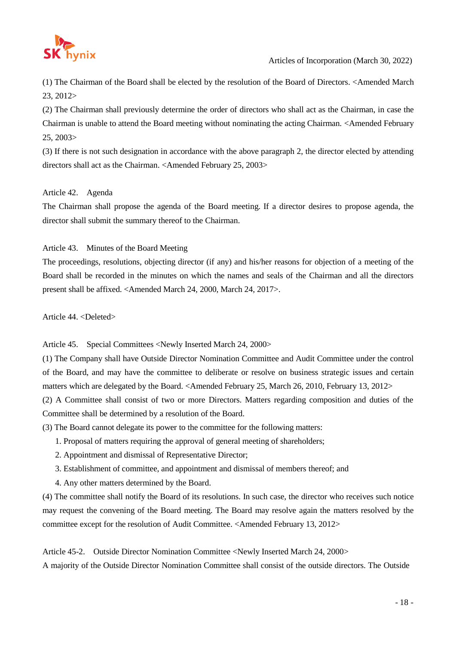

(1) The Chairman of the Board shall be elected by the resolution of the Board of Directors. <Amended March 23, 2012>

(2) The Chairman shall previously determine the order of directors who shall act as the Chairman, in case the Chairman is unable to attend the Board meeting without nominating the acting Chairman. <Amended February 25, 2003>

(3) If there is not such designation in accordance with the above paragraph 2, the director elected by attending directors shall act as the Chairman. <Amended February 25, 2003>

# Article 42. Agenda

The Chairman shall propose the agenda of the Board meeting. If a director desires to propose agenda, the director shall submit the summary thereof to the Chairman.

# Article 43. Minutes of the Board Meeting

The proceedings, resolutions, objecting director (if any) and his/her reasons for objection of a meeting of the Board shall be recorded in the minutes on which the names and seals of the Chairman and all the directors present shall be affixed. <Amended March 24, 2000, March 24, 2017>.

Article 44. <Deleted>

Article 45. Special Committees <Newly Inserted March 24, 2000>

(1) The Company shall have Outside Director Nomination Committee and Audit Committee under the control of the Board, and may have the committee to deliberate or resolve on business strategic issues and certain matters which are delegated by the Board. <Amended February 25, March 26, 2010, February 13, 2012>

(2) A Committee shall consist of two or more Directors. Matters regarding composition and duties of the Committee shall be determined by a resolution of the Board.

(3) The Board cannot delegate its power to the committee for the following matters:

- 1. Proposal of matters requiring the approval of general meeting of shareholders;
- 2. Appointment and dismissal of Representative Director;
- 3. Establishment of committee, and appointment and dismissal of members thereof; and
- 4. Any other matters determined by the Board.

(4) The committee shall notify the Board of its resolutions. In such case, the director who receives such notice may request the convening of the Board meeting. The Board may resolve again the matters resolved by the committee except for the resolution of Audit Committee. <Amended February 13, 2012>

Article 45-2. Outside Director Nomination Committee <Newly Inserted March 24, 2000>

A majority of the Outside Director Nomination Committee shall consist of the outside directors. The Outside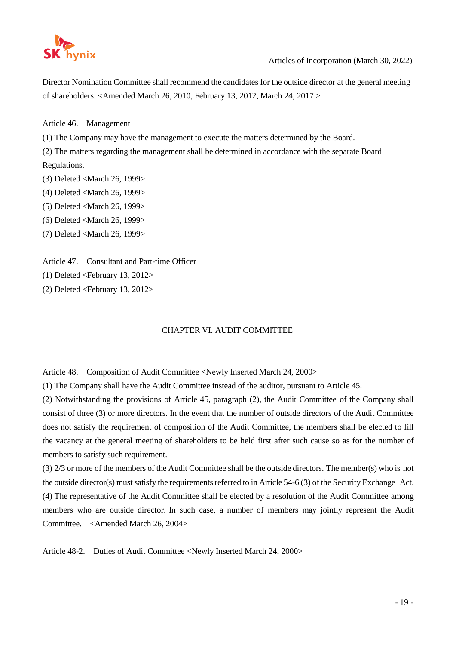

Director Nomination Committee shall recommend the candidates for the outside director at the general meeting of shareholders. <Amended March 26, 2010, February 13, 2012, March 24, 2017 >

Article 46. Management

(1) The Company may have the management to execute the matters determined by the Board.

(2) The matters regarding the management shall be determined in accordance with the separate Board Regulations.

- (3) Deleted <March 26, 1999>
- (4) Deleted <March 26, 1999>
- (5) Deleted <March 26, 1999>
- (6) Deleted <March 26, 1999>
- (7) Deleted <March 26, 1999>

Article 47. Consultant and Part-time Officer

(1) Deleted <February 13, 2012>

(2) Deleted <February 13, 2012>

# CHAPTER VI. AUDIT COMMITTEE

Article 48. Composition of Audit Committee <Newly Inserted March 24, 2000>

(1) The Company shall have the Audit Committee instead of the auditor, pursuant to Article 45.

(2) Notwithstanding the provisions of Article 45, paragraph (2), the Audit Committee of the Company shall consist of three (3) or more directors. In the event that the number of outside directors of the Audit Committee does not satisfy the requirement of composition of the Audit Committee, the members shall be elected to fill the vacancy at the general meeting of shareholders to be held first after such cause so as for the number of members to satisfy such requirement.

(3) 2/3 or more of the members of the Audit Committee shall be the outside directors. The member(s) who is not the outside director(s) must satisfy the requirements referred to in Article 54-6 (3) of the Security Exchange Act. (4) The representative of the Audit Committee shall be elected by a resolution of the Audit Committee among members who are outside director. In such case, a number of members may jointly represent the Audit Committee. <Amended March 26, 2004>

Article 48-2. Duties of Audit Committee <Newly Inserted March 24, 2000>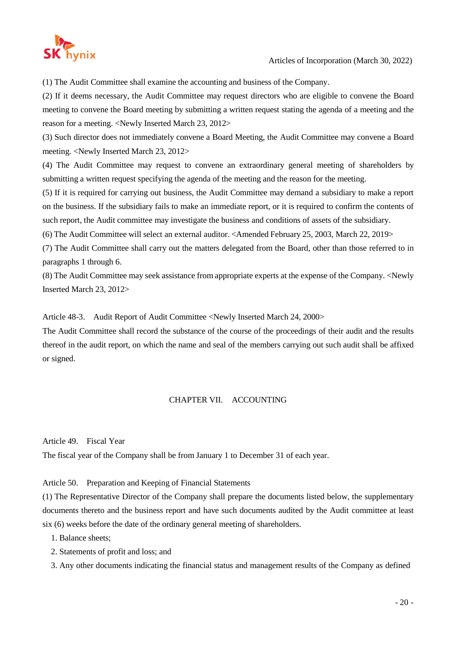

(1) The Audit Committee shall examine the accounting and business of the Company.

(2) If it deems necessary, the Audit Committee may request directors who are eligible to convene the Board meeting to convene the Board meeting by submitting a written request stating the agenda of a meeting and the reason for a meeting. <Newly Inserted March 23, 2012>

(3) Such director does not immediately convene a Board Meeting, the Audit Committee may convene a Board meeting. <Newly Inserted March 23, 2012>

(4) The Audit Committee may request to convene an extraordinary general meeting of shareholders by submitting a written request specifying the agenda of the meeting and the reason for the meeting.

(5) If it is required for carrying out business, the Audit Committee may demand a subsidiary to make a report on the business. If the subsidiary fails to make an immediate report, or it is required to confirm the contents of such report, the Audit committee may investigate the business and conditions of assets of the subsidiary.

(6) The Audit Committee will select an external auditor. <Amended February 25, 2003, March 22, 2019>

(7) The Audit Committee shall carry out the matters delegated from the Board, other than those referred to in paragraphs 1 through 6.

(8) The Audit Committee may seek assistance from appropriate experts at the expense of the Company. <Newly Inserted March 23, 2012>

Article 48-3. Audit Report of Audit Committee <Newly Inserted March 24, 2000>

The Audit Committee shall record the substance of the course of the proceedings of their audit and the results thereof in the audit report, on which the name and seal of the members carrying out such audit shall be affixed or signed.

# CHAPTER VII. ACCOUNTING

Article 49. Fiscal Year

The fiscal year of the Company shall be from January 1 to December 31 of each year.

Article 50. Preparation and Keeping of Financial Statements

(1) The Representative Director of the Company shall prepare the documents listed below, the supplementary documents thereto and the business report and have such documents audited by the Audit committee at least six (6) weeks before the date of the ordinary general meeting of shareholders.

1. Balance sheets;

- 2. Statements of profit and loss; and
- 3. Any other documents indicating the financial status and management results of the Company as defined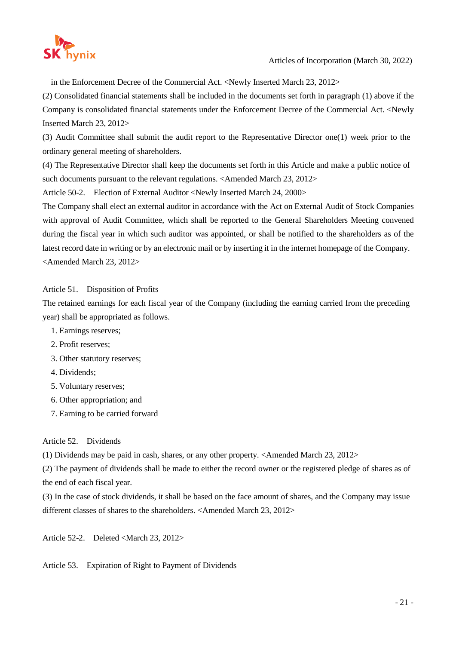

in the Enforcement Decree of the Commercial Act. <Newly Inserted March 23, 2012>

(2) Consolidated financial statements shall be included in the documents set forth in paragraph (1) above if the Company is consolidated financial statements under the Enforcement Decree of the Commercial Act. <Newly Inserted March 23, 2012>

(3) Audit Committee shall submit the audit report to the Representative Director one(1) week prior to the ordinary general meeting of shareholders.

(4) The Representative Director shall keep the documents set forth in this Article and make a public notice of such documents pursuant to the relevant regulations. <Amended March 23, 2012>

Article 50-2. Election of External Auditor <Newly Inserted March 24, 2000>

The Company shall elect an external auditor in accordance with the Act on External Audit of Stock Companies with approval of Audit Committee, which shall be reported to the General Shareholders Meeting convened during the fiscal year in which such auditor was appointed, or shall be notified to the shareholders as of the latest record date in writing or by an electronic mail or by inserting it in the internet homepage of the Company. <Amended March 23, 2012>

# Article 51. Disposition of Profits

The retained earnings for each fiscal year of the Company (including the earning carried from the preceding year) shall be appropriated as follows.

- 1. Earnings reserves;
- 2. Profit reserves;
- 3. Other statutory reserves;
- 4. Dividends;
- 5. Voluntary reserves;
- 6. Other appropriation; and
- 7. Earning to be carried forward

# Article 52. Dividends

(1) Dividends may be paid in cash, shares, or any other property. <Amended March 23, 2012>

(2) The payment of dividends shall be made to either the record owner or the registered pledge of shares as of the end of each fiscal year.

(3) In the case of stock dividends, it shall be based on the face amount of shares, and the Company may issue different classes of shares to the shareholders. <Amended March 23, 2012>

Article 52-2. Deleted <March 23, 2012>

Article 53. Expiration of Right to Payment of Dividends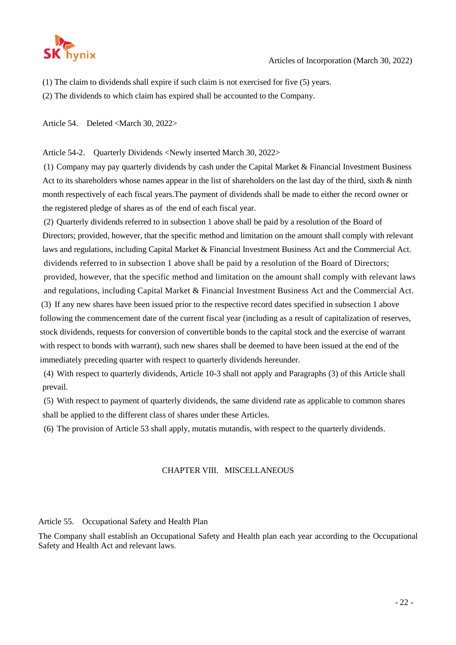

(1) The claim to dividends shall expire if such claim is not exercised for five (5) years.

(2) The dividends to which claim has expired shall be accounted to the Company.

Article 54. Deleted <March 30, 2022>

Article 54-2. Quarterly Dividends <Newly inserted March 30, 2022>

(1) Company may pay quarterly dividends by cash under the Capital Market & Financial Investment Business Act to its shareholders whose names appear in the list of shareholders on the last day of the third, sixth & ninth month respectively of each fiscal years.The payment of dividends shall be made to either the record owner or the registered pledge of shares as of the end of each fiscal year.

(2) Quarterly dividends referred to in subsection 1 above shall be paid by a resolution of the Board of Directors; provided, however, that the specific method and limitation on the amount shall comply with relevant laws and regulations, including Capital Market & Financial Investment Business Act and the Commercial Act. dividends referred to in subsection 1 above shall be paid by a resolution of the Board of Directors; provided, however, that the specific method and limitation on the amount shall comply with relevant laws and regulations, including Capital Market & Financial Investment Business Act and the Commercial Act. (3) If any new shares have been issued prior to the respective record dates specified in subsection 1 above following the commencement date of the current fiscal year (including as a result of capitalization of reserves, stock dividends, requests for conversion of convertible bonds to the capital stock and the exercise of warrant with respect to bonds with warrant), such new shares shall be deemed to have been issued at the end of the immediately preceding quarter with respect to quarterly dividends hereunder.

(4) With respect to quarterly dividends, Article 10-3 shall not apply and Paragraphs (3) of this Article shall prevail.

(5) With respect to payment of quarterly dividends, the same dividend rate as applicable to common shares shall be applied to the different class of shares under these Articles.

(6) The provision of Article 53 shall apply, mutatis mutandis, with respect to the quarterly dividends.

#### CHAPTER VIII. MISCELLANEOUS

Article 55. Occupational Safety and Health Plan

The Company shall establish an Occupational Safety and Health plan each year according to the Occupational Safety and Health Act and relevant laws.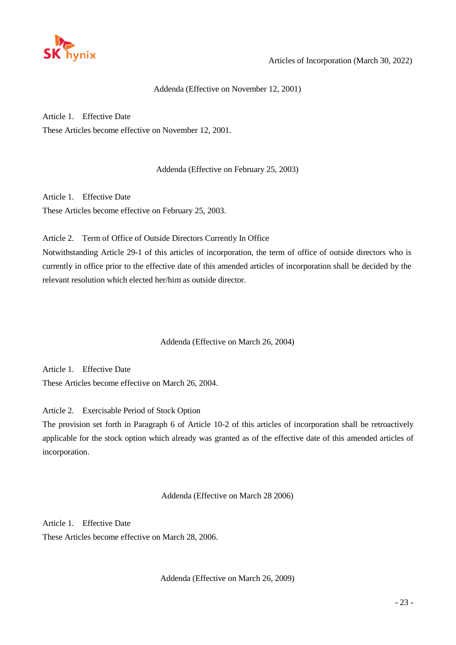

### Addenda (Effective on November 12, 2001)

Article 1. Effective Date

These Articles become effective on November 12, 2001.

Addenda (Effective on February 25, 2003)

Article 1. Effective Date

These Articles become effective on February 25, 2003.

Article 2. Term of Office of Outside Directors Currently In Office

Notwithstanding Article 29-1 of this articles of incorporation, the term of office of outside directors who is currently in office prior to the effective date of this amended articles of incorporation shall be decided by the relevant resolution which elected her/him as outside director.

Addenda (Effective on March 26, 2004)

Article 1. Effective Date These Articles become effective on March 26, 2004.

Article 2. Exercisable Period of Stock Option

The provision set forth in Paragraph 6 of Article 10-2 of this articles of incorporation shall be retroactively applicable for the stock option which already was granted as of the effective date of this amended articles of incorporation.

Addenda (Effective on March 28 2006)

Article 1. Effective Date These Articles become effective on March 28, 2006.

Addenda (Effective on March 26, 2009)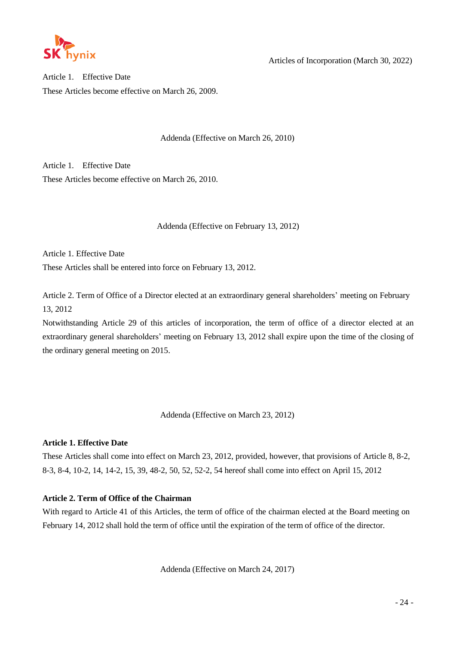

Articles of Incorporation (March 30, 2022)

Article 1. Effective Date These Articles become effective on March 26, 2009.

Addenda (Effective on March 26, 2010)

Article 1. Effective Date These Articles become effective on March 26, 2010.

Addenda (Effective on February 13, 2012)

Article 1. Effective Date

These Articles shall be entered into force on February 13, 2012.

Article 2. Term of Office of a Director elected at an extraordinary general shareholders' meeting on February 13, 2012

Notwithstanding Article 29 of this articles of incorporation, the term of office of a director elected at an extraordinary general shareholders' meeting on February 13, 2012 shall expire upon the time of the closing of the ordinary general meeting on 2015.

Addenda (Effective on March 23, 2012)

# **Article 1. Effective Date**

These Articles shall come into effect on March 23, 2012, provided, however, that provisions of Article 8, 8-2, 8-3, 8-4, 10-2, 14, 14-2, 15, 39, 48-2, 50, 52, 52-2, 54 hereof shall come into effect on April 15, 2012

# **Article 2. Term of Office of the Chairman**

With regard to Article 41 of this Articles, the term of office of the chairman elected at the Board meeting on February 14, 2012 shall hold the term of office until the expiration of the term of office of the director.

Addenda (Effective on March 24, 2017)